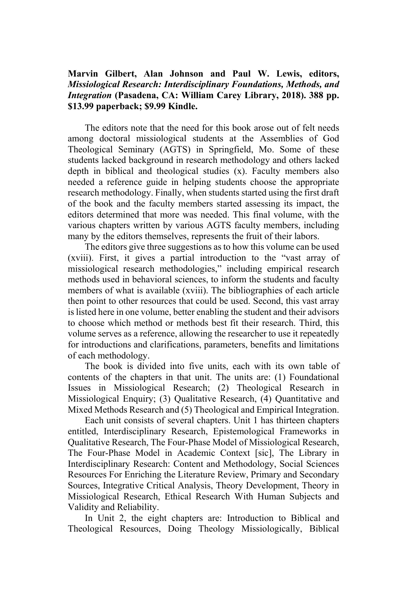## **Marvin Gilbert, Alan Johnson and Paul W. Lewis, editors,** *Missiological Research: Interdisciplinary Foundations, Methods, and Integration* **(Pasadena, CA: William Carey Library, 2018). 388 pp. \$13.99 paperback; \$9.99 Kindle.**

The editors note that the need for this book arose out of felt needs among doctoral missiological students at the Assemblies of God Theological Seminary (AGTS) in Springfield, Mo. Some of these students lacked background in research methodology and others lacked depth in biblical and theological studies (x). Faculty members also needed a reference guide in helping students choose the appropriate research methodology. Finally, when students started using the first draft of the book and the faculty members started assessing its impact, the editors determined that more was needed. This final volume, with the various chapters written by various AGTS faculty members, including many by the editors themselves, represents the fruit of their labors.

The editors give three suggestions as to how this volume can be used (xviii). First, it gives a partial introduction to the "vast array of missiological research methodologies," including empirical research methods used in behavioral sciences, to inform the students and faculty members of what is available (xviii). The bibliographies of each article then point to other resources that could be used. Second, this vast array is listed here in one volume, better enabling the student and their advisors to choose which method or methods best fit their research. Third, this volume serves as a reference, allowing the researcher to use it repeatedly for introductions and clarifications, parameters, benefits and limitations of each methodology.

The book is divided into five units, each with its own table of contents of the chapters in that unit. The units are: (1) Foundational Issues in Missiological Research; (2) Theological Research in Missiological Enquiry; (3) Qualitative Research, (4) Quantitative and Mixed Methods Research and (5) Theological and Empirical Integration.

Each unit consists of several chapters. Unit 1 has thirteen chapters entitled, Interdisciplinary Research, Epistemological Frameworks in Qualitative Research, The Four-Phase Model of Missiological Research, The Four-Phase Model in Academic Context [sic], The Library in Interdisciplinary Research: Content and Methodology, Social Sciences Resources For Enriching the Literature Review, Primary and Secondary Sources, Integrative Critical Analysis, Theory Development, Theory in Missiological Research, Ethical Research With Human Subjects and Validity and Reliability.

In Unit 2, the eight chapters are: Introduction to Biblical and Theological Resources, Doing Theology Missiologically, Biblical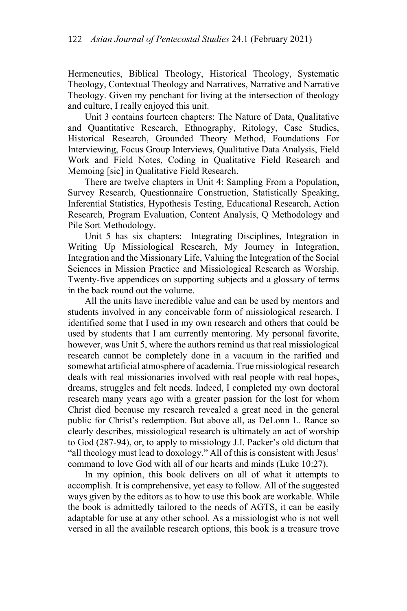Hermeneutics, Biblical Theology, Historical Theology, Systematic Theology, Contextual Theology and Narratives, Narrative and Narrative Theology. Given my penchant for living at the intersection of theology and culture, I really enjoyed this unit.

Unit 3 contains fourteen chapters: The Nature of Data, Qualitative and Quantitative Research, Ethnography, Ritology, Case Studies, Historical Research, Grounded Theory Method, Foundations For Interviewing, Focus Group Interviews, Qualitative Data Analysis, Field Work and Field Notes, Coding in Qualitative Field Research and Memoing [sic] in Qualitative Field Research.

There are twelve chapters in Unit 4: Sampling From a Population, Survey Research, Questionnaire Construction, Statistically Speaking, Inferential Statistics, Hypothesis Testing, Educational Research, Action Research, Program Evaluation, Content Analysis, Q Methodology and Pile Sort Methodology.

Unit 5 has six chapters: Integrating Disciplines, Integration in Writing Up Missiological Research, My Journey in Integration, Integration and the Missionary Life, Valuing the Integration of the Social Sciences in Mission Practice and Missiological Research as Worship. Twenty-five appendices on supporting subjects and a glossary of terms in the back round out the volume.

All the units have incredible value and can be used by mentors and students involved in any conceivable form of missiological research. I identified some that I used in my own research and others that could be used by students that I am currently mentoring. My personal favorite, however, was Unit 5, where the authors remind us that real missiological research cannot be completely done in a vacuum in the rarified and somewhat artificial atmosphere of academia. True missiological research deals with real missionaries involved with real people with real hopes, dreams, struggles and felt needs. Indeed, I completed my own doctoral research many years ago with a greater passion for the lost for whom Christ died because my research revealed a great need in the general public for Christ's redemption. But above all, as DeLonn L. Rance so clearly describes, missiological research is ultimately an act of worship to God (287-94), or, to apply to missiology J.I. Packer's old dictum that "all theology must lead to doxology." All of this is consistent with Jesus' command to love God with all of our hearts and minds (Luke 10:27).

In my opinion, this book delivers on all of what it attempts to accomplish. It is comprehensive, yet easy to follow. All of the suggested ways given by the editors as to how to use this book are workable. While the book is admittedly tailored to the needs of AGTS, it can be easily adaptable for use at any other school. As a missiologist who is not well versed in all the available research options, this book is a treasure trove